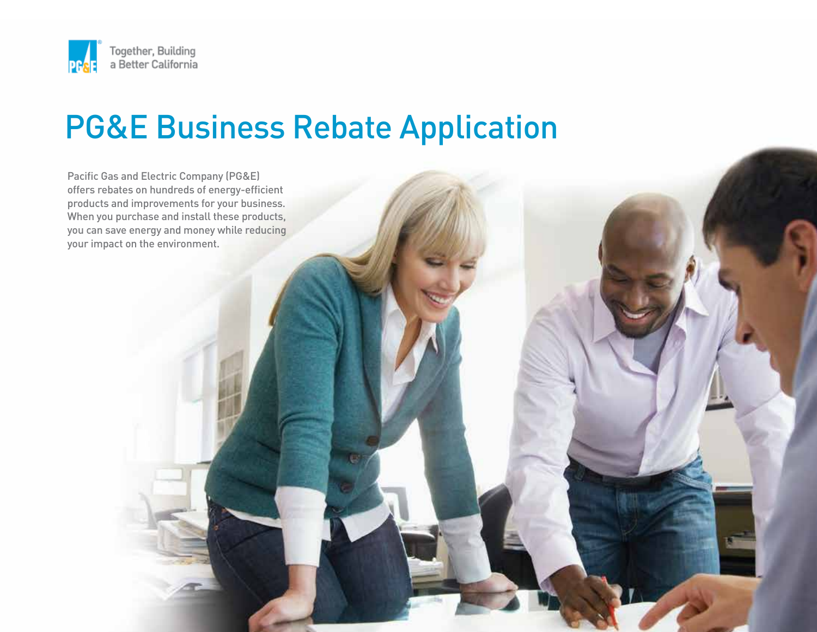

# PG&E Business Rebate Application

Pacific Gas and Electric Company (PG&E) offers rebates on hundreds of energy-efficient products and improvements for your business. When you purchase and install these products, you can save energy and money while reducing your impact on the environment.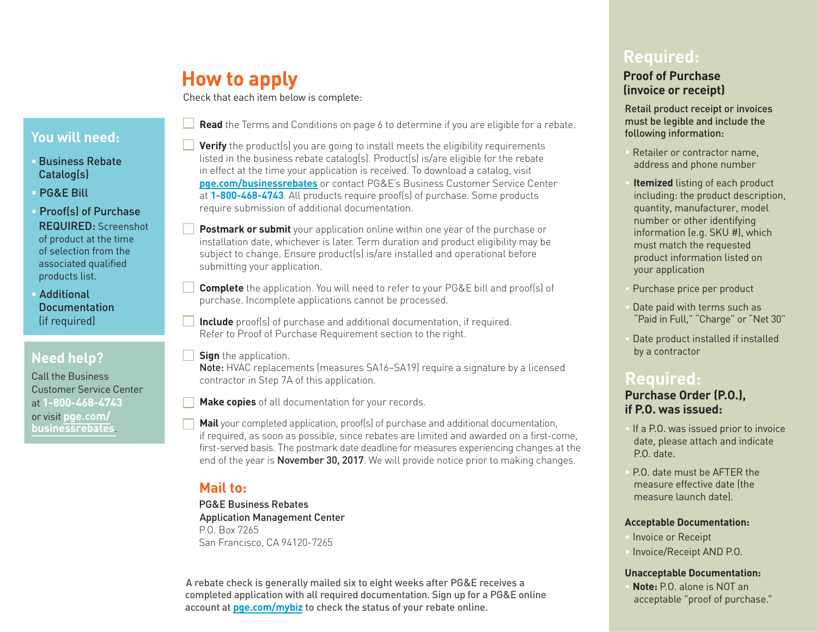## **How to apply**

Check that each item below is complete:

### **You will need:**

- •Business Rebate Catalog(s)
- PG&E Bill
- Proof(s) of Purchase REQUIRED: Screenshot of product at the time of selection from the associated qualified products list.
- Additional **Documentation** (if required)

## **Need help?**

Call the Business Customer Service Center at **18004684743**  or visit **[pge.com/](https://www.pge.com/en_US/business/save-energy-money/business-solutions-and-rebates/product-rebates/product-rebates.page)  [businessrebates](https://www.pge.com/en_US/business/save-energy-money/business-solutions-and-rebates/product-rebates/product-rebates.page)**.

- **Read** the Terms and Conditions on page 6 to determine if you are eligible for a rebate.
- **Verify** the product(s) you are going to install meets the eligibility requirements listed in the business rebate catalog(s). Product(s) is/are eligible for the rebate in effect at the time your application is received. To download a catalog, visit **[pge.com/businessrebates](https://www.pge.com/en_US/business/save-energy-money/business-solutions-and-rebates/product-rebates/product-rebates.page)** or contact PG&E's Business Customer Service Center at **1-800-468-4743**. All products require proof(s) of purchase. Some products require submission of additional documentation.
- **Postmark or submit** your application online within one year of the purchase or installation date, whichever is later. Term duration and product eligibility may be subject to change. Ensure product(s) is/are installed and operational before submitting your application.
- **Complete** the application. You will need to refer to your PG&E bill and proof(s) of purchase. Incomplete applications cannot be processed.
- **Include** proof(s) of purchase and additional documentation, if required. Refer to Proof of Purchase Requirement section to the right.
- **Sign** the application.

Note: HVAC replacements (measures SA16–SA19) require a signature by a licensed contractor in Step 7A of this application.

**Make copies** of all documentation for your records.

**Mail** your completed application, proof(s) of purchase and additional documentation, if required, as soon as possible, since rebates are limited and awarded on a first-come, first-served basis. The postmark date deadline for measures experiencing changes at the end of the year is **November 30, 2017**. We will provide notice prior to making changes.

## **Mail to:**

PG&E Business Rebates Application Management Center P.O. Box 7265 San Francisco, CA 94120-7265

A rebate check is generally mailed six to eight weeks after PG&E receives a completed application with all required documentation. Sign up for a PG&E online account at **[pge.com/mybiz](https://m.pge.com/?WT.mc_id=Vanity_mybiz#dashboard/business)** to check the status of your rebate online.

## **Required:**

#### **Proof of Purchase (invoice or receipt)**

Retail product receipt or invoices must be legible and include the following information:

- Retailer or contractor name. address and phone number
- **Itemized** listing of each product including: the product description, quantity, manufacturer, model number or other identifying information (e.g. SKU #), which must match the requested product information listed on your application
- Purchase price per product
- Date paid with terms such as "Paid in Full," "Charge" or "Net 30"
- Date product installed if installed by a contractor

## **Required:**

#### **Purchase Order (P.O.), if P.O. was issued:**

- If a P.O. was issued prior to invoice date, please attach and indicate P.O. date.
- P.O. date must be AFTER the measure effective date (the measure launch date).

#### **Acceptable Documentation:**

- Invoice or Receipt
- Invoice/Receipt AND P.O.

#### **Unacceptable Documentation:**

• **Note:** P.O. alone is NOT an acceptable "proof of purchase."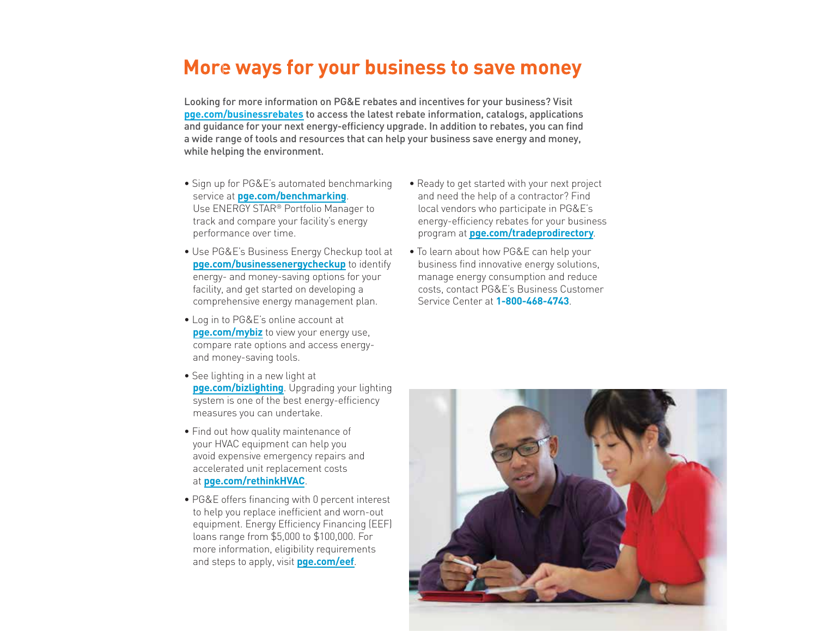## **More ways for your business to save money**

Looking for more information on PG&E rebates and incentives for your business? Visit **[pge.com/businessrebates](https://www.pge.com/en_US/business/save-energy-money/business-solutions-and-rebates/product-rebates/product-rebates.page)** to access the latest rebate information, catalogs, applications and guidance for your next energy-efficiency upgrade. In addition to rebates, you can find a wide range of tools and resources that can help your business save energy and money, while helping the environment.

- Sign up for PG&E's automated benchmarking service at **[pge.com/benchmarking](https://www.pge.com/en_US/business/save-energy-money/analyze-your-usage/energy-performance-benchmarking/energy-performance-benchmarking.page?WT.mc_id=Vanity_benchmarking)**. Use ENERGY STAR® Portfolio Manager to track and compare your facility's energy performance over time.
- Use PG&E's Business Energy Checkup tool at **[pge.com/businessenergycheckup](https://m.pge.com/?WT.mc_id=Vanity_businessenergycheckup#login)** to identify energy- and money-saving options for your facility, and get started on developing a comprehensive energy management plan.
- Log in to PG&E's online account at **[pge.com/mybiz](https://m.pge.com/?WT.mc_id=Vanity_mybiz#dashboard/business)** to view your energy use, compare rate options and access energy and money-saving tools.
- See lighting in a new light at **[pge.com/bizlighting](https://www.pge.com/en_US/business/save-energy-money/business-solutions-and-rebates/lighting/lighting.page?WT.mc_id=Vanity_bizlighting)**. Upgrading your lighting system is one of the best energy-efficiency measures you can undertake.
- Find out how quality maintenance of your HVAC equipment can help you avoid expensive emergency repairs and accelerated unit replacement costs at **[pge.com/rethinkHVAC](https://www.pge.com/en_US/business/save-energy-money/facility-improvements/hvac-optimization/hvac-optimization.page?WT.mc_id=Vanity_rethinkHVAC)**.
- PG&E offers financing with 0 percent interest to help you replace inefficient and worn-out equipment. Energy Efficiency Financing (EEF) loans range from \$5,000 to \$100,000. For more information, eligibility requirements and steps to apply, visit **[pge.com/eef](https://www.pge.com/en_US/business/save-energy-money/financing/energy-efficiency-financing/energy-efficiency-financing.page?WT.mc_id=Vanity_eef)**.
- Ready to get started with your next project and need the help of a contractor? Find local vendors who participate in PG&E's energyefficiency rebates for your business program at **[pge.com/tradeprodirectory](https://www.pge.com/en_US/business/save-energy-money/contractors-and-programs/find-trade-professional/find-trade-professional.page?WT.mc_id=Vanity_tradeprodirectory)**.
- To learn about how PG&E can help your business find innovative energy solutions, manage energy consumption and reduce costs, contact PG&E's Business Customer Service Center at **1-800-468-4743**

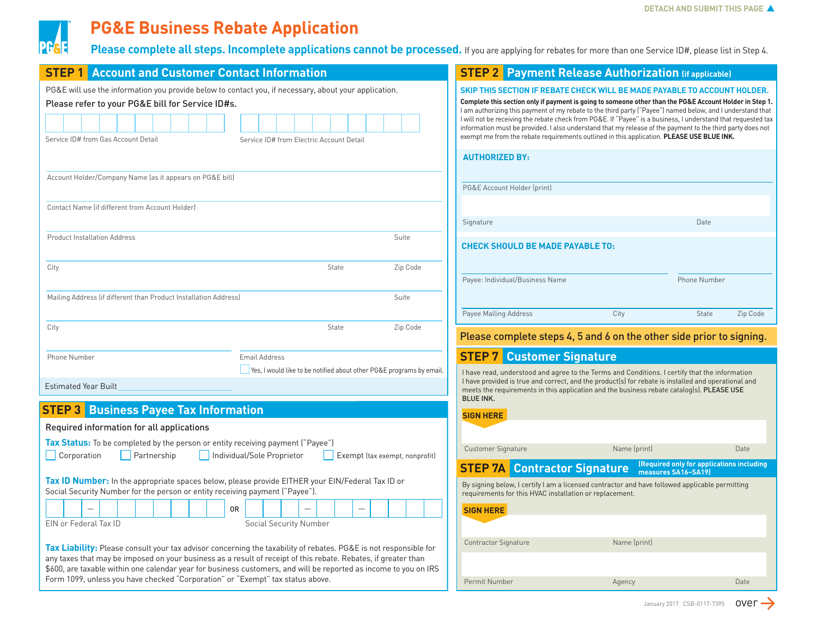

## **PG&E Business Rebate Application**

**Please complete all steps. Incomplete applications cannot be processed.** If you are applying for rebates for more than one Service ID#, please list in Step 4.

| <b>STEP 1</b> Account and Customer Contact Information                                                                                                                                                                                                                                                                                                        |  |  |  |  |  |  |  |
|---------------------------------------------------------------------------------------------------------------------------------------------------------------------------------------------------------------------------------------------------------------------------------------------------------------------------------------------------------------|--|--|--|--|--|--|--|
| PG&E will use the information you provide below to contact you, if necessary, about your application.<br>Please refer to your PG&E bill for Service ID#s.                                                                                                                                                                                                     |  |  |  |  |  |  |  |
|                                                                                                                                                                                                                                                                                                                                                               |  |  |  |  |  |  |  |
| Service ID# from Gas Account Detail<br>Service ID# from Electric Account Detail                                                                                                                                                                                                                                                                               |  |  |  |  |  |  |  |
| Account Holder/Company Name (as it appears on PG&E bill)                                                                                                                                                                                                                                                                                                      |  |  |  |  |  |  |  |
| Contact Name (if different from Account Holder)                                                                                                                                                                                                                                                                                                               |  |  |  |  |  |  |  |
| Suite<br><b>Product Installation Address</b>                                                                                                                                                                                                                                                                                                                  |  |  |  |  |  |  |  |
| Zip Code<br>City<br>State                                                                                                                                                                                                                                                                                                                                     |  |  |  |  |  |  |  |
| Mailing Address (if different than Product Installation Address)<br>Suite                                                                                                                                                                                                                                                                                     |  |  |  |  |  |  |  |
| State<br>Zip Code<br>City                                                                                                                                                                                                                                                                                                                                     |  |  |  |  |  |  |  |
| Phone Number<br><b>Email Address</b><br>Yes, I would like to be notified about other PG&E programs by email.                                                                                                                                                                                                                                                  |  |  |  |  |  |  |  |
| <b>Estimated Year Built</b>                                                                                                                                                                                                                                                                                                                                   |  |  |  |  |  |  |  |
| <b>Business Payee Tax Information</b><br><b>STEP3</b>                                                                                                                                                                                                                                                                                                         |  |  |  |  |  |  |  |
| Required information for all applications                                                                                                                                                                                                                                                                                                                     |  |  |  |  |  |  |  |
| <b>Tax Status:</b> To be completed by the person or entity receiving payment ("Payee")<br>Individual/Sole Proprietor<br>Corporation<br>Partnership<br>Exempt (tax exempt, nonprofit)                                                                                                                                                                          |  |  |  |  |  |  |  |
| Tax ID Number: In the appropriate spaces below, please provide EITHER your EIN/Federal Tax ID or<br>Social Security Number for the person or entity receiving payment ("Payee").                                                                                                                                                                              |  |  |  |  |  |  |  |
| 0R                                                                                                                                                                                                                                                                                                                                                            |  |  |  |  |  |  |  |
| EIN or Federal Tax ID<br><b>Social Security Number</b>                                                                                                                                                                                                                                                                                                        |  |  |  |  |  |  |  |
| <b>Tax Liability:</b> Please consult your tax advisor concerning the taxability of rebates. PG&E is not responsible for<br>any taxes that may be imposed on your business as a result of receipt of this rebate. Rebates, if greater than<br>\$600, are taxable within one calendar year for business customers, and will be reported as income to you on IRS |  |  |  |  |  |  |  |

Form 1099, unless you have checked "Corporation" or "Exempt" tax status above.

| SKIP THIS SECTION IF REBATE CHECK WILL BE MADE PAYABLE TO ACCOUNT HOLDER.<br>Complete this section only if payment is going to someone other than the PG&E Account Holder in Step 1.<br>I am authorizing this payment of my rebate to the third party ("Payee") named below, and I understand that<br>I will not be receiving the rebate check from PG&E. If "Payee" is a business, I understand that requested tax<br>information must be provided. I also understand that my release of the payment to the third party does not<br>exempt me from the rebate requirements outlined in this application. PLEASE USE BLUE INK. |      |                     |          |  |  |  |  |  |  |
|--------------------------------------------------------------------------------------------------------------------------------------------------------------------------------------------------------------------------------------------------------------------------------------------------------------------------------------------------------------------------------------------------------------------------------------------------------------------------------------------------------------------------------------------------------------------------------------------------------------------------------|------|---------------------|----------|--|--|--|--|--|--|
| <b>AUTHORIZED BY:</b>                                                                                                                                                                                                                                                                                                                                                                                                                                                                                                                                                                                                          |      |                     |          |  |  |  |  |  |  |
| PG&E Account Holder (print)                                                                                                                                                                                                                                                                                                                                                                                                                                                                                                                                                                                                    |      |                     |          |  |  |  |  |  |  |
| Signature                                                                                                                                                                                                                                                                                                                                                                                                                                                                                                                                                                                                                      |      | Date                |          |  |  |  |  |  |  |
| <b>CHECK SHOULD BE MADE PAYABLE TO:</b>                                                                                                                                                                                                                                                                                                                                                                                                                                                                                                                                                                                        |      |                     |          |  |  |  |  |  |  |
| Payee: Individual/Business Name                                                                                                                                                                                                                                                                                                                                                                                                                                                                                                                                                                                                |      | <b>Phone Number</b> |          |  |  |  |  |  |  |
| Payee Mailing Address                                                                                                                                                                                                                                                                                                                                                                                                                                                                                                                                                                                                          | City | State               | Zip Code |  |  |  |  |  |  |
| Please complete steps 4, 5 and 6 on the other side prior to signing.                                                                                                                                                                                                                                                                                                                                                                                                                                                                                                                                                           |      |                     |          |  |  |  |  |  |  |

**STEP 2 Payment Release Authorization (if applicable)** 

#### **STEP 7 Customer Signature**

I have read, understood and agree to the Terms and Conditions. I certify that the information I have provided is true and correct, and the product(s) for rebate is installed and operational and meets the requirements in this application and the business rebate catalog(s). PLEASE USE BLUE INK.

#### **SIGN HERE**

Customer Signature Name (print) Date

### **STEP 7A Contractor Signature** *(Required only for applications including measures SA16-SA19)*

**measures SA16–SA19)** 

By signing below, I certify I am a licensed contractor and have followed applicable permitting requirements for this HVAC installation or replacement.

| <b>SIGN HERE</b>            |              |      |
|-----------------------------|--------------|------|
| <b>Contractor Signature</b> | Name (print) |      |
|                             |              |      |
| Permit Number               | Agency       | Date |

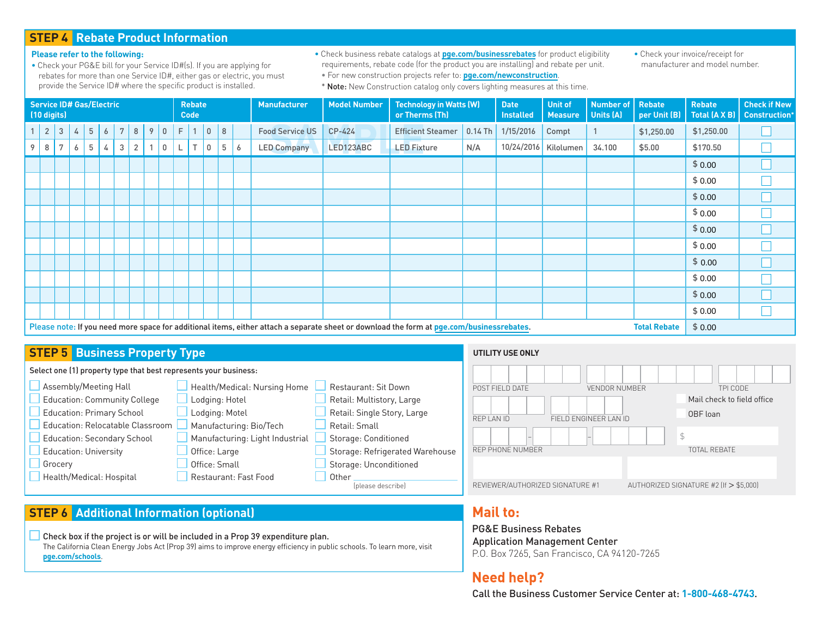#### **STEP 4 Rebate Product Information**

#### **Please refer to the following:**

- Check your PG&E bill for your Service ID#(s). If you are applying for rebates for more than one Service ID#, either gas or electric, you must provide the Service ID# where the specific product is installed.
- Check business rebate catalogs at **[pge.com/businessrebates](https://www.pge.com/en_US/business/save-energy-money/business-solutions-and-rebates/product-rebates/product-rebates.page?WT.mc_id=Vanity_businessrebates)** for product eligibility requirements, rebate code (for the product you are installing) and rebate per unit. • For new construction projects refer to: **[pge.com/newconstruction](https://www.pge.com/en_US/business/services/building-and-renovation/overview/overview.page?WT.mc_id=Vanity_newconstruction)**.

• Check your invoice/receipt for manufacturer and model number.

\* Note: New Construction catalog only covers lighting measures at this time.

| <b>Service ID# Gas/Electric</b><br>$(10 \text{ digits})$                                                                                                         |                                |                |                 |                |                 | <b>Rebate</b><br><b>Code</b> |   |   |        | <b>Manufacturer</b> | <b>Model Number</b> | <b>Technology in Watts (W)</b><br>or Therms (Th) |   | <b>Date</b><br><b>Installed</b> | <b>Unit of</b><br><b>Measure</b> | Number of<br>Units (A)   | Rebate<br>per Unit (B) | <b>Rebate</b><br>Total (A X B) | <b>Check if New</b><br><b>Construction*</b> |              |            |            |  |
|------------------------------------------------------------------------------------------------------------------------------------------------------------------|--------------------------------|----------------|-----------------|----------------|-----------------|------------------------------|---|---|--------|---------------------|---------------------|--------------------------------------------------|---|---------------------------------|----------------------------------|--------------------------|------------------------|--------------------------------|---------------------------------------------|--------------|------------|------------|--|
|                                                                                                                                                                  | $\overline{2}$<br>$\mathbf{3}$ | $\overline{4}$ | $5\phantom{.0}$ | $\overline{6}$ | $7\overline{ }$ | 8                            | 9 | 0 | F      |                     | $\mathbf 0$         | 8                                                |   | <b>Food Service US</b>          | $CP-424$                         | <b>Efficient Steamer</b> | $0.14$ Th              | 1/15/2016                      | Compt                                       | $\mathbf{1}$ | \$1,250.00 | \$1,250.00 |  |
| 9                                                                                                                                                                | 7<br>8                         | 6              | 5               | 4              | 3               | $\mathbf{2}$                 |   | 0 | L      | $\top$              | $\overline{0}$      | 5                                                | 6 | <b>LED Company</b>              | LED123ABC                        | <b>LED Fixture</b>       | N/A                    | 10/24/2016 Kilolumen           |                                             | 34.100       | \$5.00     | \$170.50   |  |
|                                                                                                                                                                  |                                |                |                 |                |                 |                              |   |   |        |                     |                     |                                                  |   |                                 |                                  |                          |                        |                                |                                             |              |            | \$0.00     |  |
|                                                                                                                                                                  |                                |                |                 |                |                 |                              |   |   |        |                     |                     |                                                  |   |                                 |                                  |                          |                        |                                |                                             |              |            | \$0.00     |  |
|                                                                                                                                                                  |                                |                |                 |                |                 |                              |   |   |        |                     |                     |                                                  |   |                                 |                                  |                          |                        |                                |                                             |              |            | \$0.00     |  |
|                                                                                                                                                                  |                                |                |                 |                |                 |                              |   |   |        |                     |                     |                                                  |   |                                 |                                  |                          |                        |                                |                                             |              |            | \$0.00     |  |
|                                                                                                                                                                  |                                |                |                 |                |                 |                              |   |   |        |                     |                     |                                                  |   |                                 |                                  |                          |                        |                                |                                             |              |            | \$0.00     |  |
|                                                                                                                                                                  |                                |                |                 |                |                 |                              |   |   |        |                     |                     |                                                  |   |                                 |                                  |                          |                        |                                |                                             |              |            | \$0.00     |  |
|                                                                                                                                                                  |                                |                |                 |                |                 |                              |   |   |        |                     |                     |                                                  |   |                                 |                                  |                          |                        |                                |                                             |              |            | \$0.00     |  |
|                                                                                                                                                                  |                                |                |                 |                |                 |                              |   |   |        |                     |                     |                                                  |   |                                 |                                  |                          |                        |                                |                                             |              |            | \$0.00     |  |
|                                                                                                                                                                  |                                |                |                 |                |                 |                              |   |   |        |                     |                     |                                                  |   |                                 |                                  |                          |                        |                                |                                             |              |            | \$0.00     |  |
|                                                                                                                                                                  |                                |                |                 |                |                 |                              |   |   |        |                     |                     |                                                  |   |                                 |                                  |                          |                        |                                |                                             |              |            | \$0.00     |  |
| Please note: If you need more space for additional items, either attach a separate sheet or download the form at pge.com/businessrebates.<br><b>Total Rebate</b> |                                |                |                 |                |                 |                              |   |   | \$0.00 |                     |                     |                                                  |   |                                 |                                  |                          |                        |                                |                                             |              |            |            |  |

#### **STEP 5 Business Property Type**

## Select one (1) property type that best represents your business:

| Assembly/Meeting Hall               | Health/Medical: Nursing Home    | <b>Restaurant: Sit Down</b>     |
|-------------------------------------|---------------------------------|---------------------------------|
| <b>Education: Community College</b> | Lodging: Hotel                  | Retail: Multistory, Large       |
| <b>Education: Primary School</b>    | Lodging: Motel                  | Retail: Single Story, Large     |
| Education: Relocatable Classroom    | Manufacturing: Bio/Tech         | Retail: Small                   |
| <b>Education: Secondary School</b>  | Manufacturing: Light Industrial | Storage: Conditioned            |
| <b>Education: University</b>        | Office: Large                   | Storage: Refrigerated Warehouse |
| Grocery                             | Office: Small                   | Storage: Unconditioned          |
| Health/Medical: Hospital            | Restaurant: Fast Food           | Other                           |
|                                     |                                 | (please describe)               |

#### **UTILITY USE ONLY**



## **STEP 6 Additional Information (optional)**

Check box if the project is or will be included in a Prop 39 expenditure plan. The California Clean Energy Jobs Act (Prop 39) aims to improve energy efficiency in public schools. To learn more, visit **[pge.com/schools](https://www.pge.com/en_US/business/save-energy-money/business-solutions-and-rebates/savings-by-industry/k-to-12-schools-money-back-solutions/k-to-12-schools.page?WT.mc_id=Vanity_schools)**.

## **Mail to:**

PG&E Business Rebates Application Management Center P.O. Box 7265, San Francisco, CA 94120-7265

## **Need help?**

Call the Business Customer Service Center at: 1-800-468-4743.